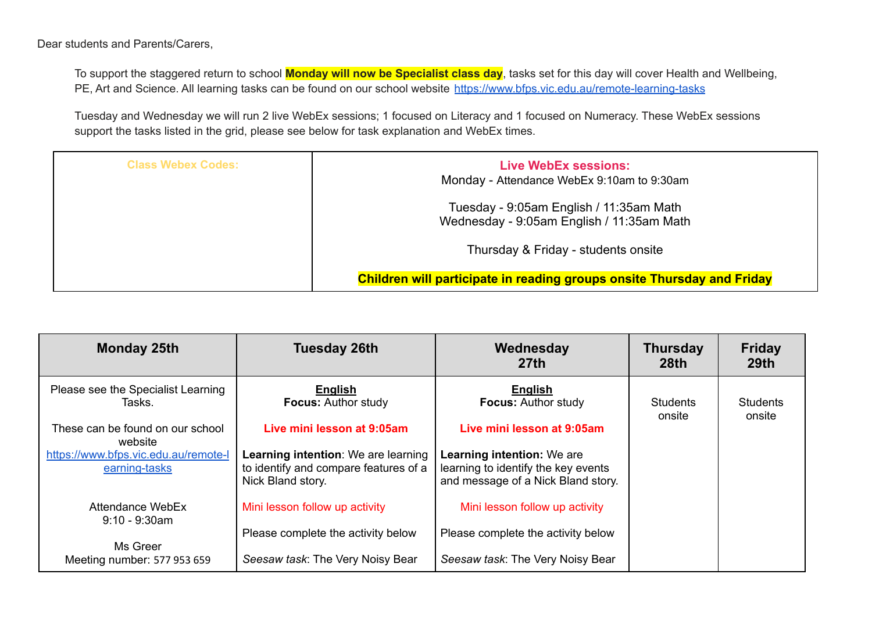Dear students and Parents/Carers,

To support the staggered return to school **Monday will now be Specialist class day**, tasks set for this day will cover Health and Wellbeing, PE, Art and Science. All learning tasks can be found on our school website <https://www.bfps.vic.edu.au/remote-learning-tasks>

Tuesday and Wednesday we will run 2 live WebEx sessions; 1 focused on Literacy and 1 focused on Numeracy. These WebEx sessions support the tasks listed in the grid, please see below for task explanation and WebEx times.

| <b>Class Webex Codes:</b> | <b>Live WebEx sessions:</b><br>Monday - Attendance WebEx 9:10am to 9:30am            |
|---------------------------|--------------------------------------------------------------------------------------|
|                           | Tuesday - 9:05am English / 11:35am Math<br>Wednesday - 9:05am English / 11:35am Math |
|                           | Thursday & Friday - students onsite                                                  |
|                           | <b>Children will participate in reading groups onsite Thursday and Friday</b>        |

| <b>Monday 25th</b>                                    | <b>Tuesday 26th</b>                                                                               | Wednesday<br>27th                                                                                              | <b>Thursday</b><br>28 <sub>th</sub> | <b>Friday</b><br>29 <sub>th</sub> |
|-------------------------------------------------------|---------------------------------------------------------------------------------------------------|----------------------------------------------------------------------------------------------------------------|-------------------------------------|-----------------------------------|
| Please see the Specialist Learning<br>Tasks.          | English<br><b>Focus: Author study</b>                                                             | <b>English</b><br><b>Focus: Author study</b>                                                                   | <b>Students</b><br>onsite           | <b>Students</b><br>onsite         |
| These can be found on our school<br>website           | Live mini lesson at 9:05am                                                                        | Live mini lesson at 9:05am                                                                                     |                                     |                                   |
| https://www.bfps.vic.edu.au/remote-l<br>earning-tasks | Learning intention: We are learning<br>to identify and compare features of a<br>Nick Bland story. | <b>Learning intention: We are</b><br>learning to identify the key events<br>and message of a Nick Bland story. |                                     |                                   |
| Attendance WebEx<br>$9:10 - 9:30$ am                  | Mini lesson follow up activity                                                                    | Mini lesson follow up activity                                                                                 |                                     |                                   |
| Ms Greer                                              | Please complete the activity below                                                                | Please complete the activity below                                                                             |                                     |                                   |
| Meeting number: 577 953 659                           | Seesaw task: The Very Noisy Bear                                                                  | Seesaw task: The Very Noisy Bear                                                                               |                                     |                                   |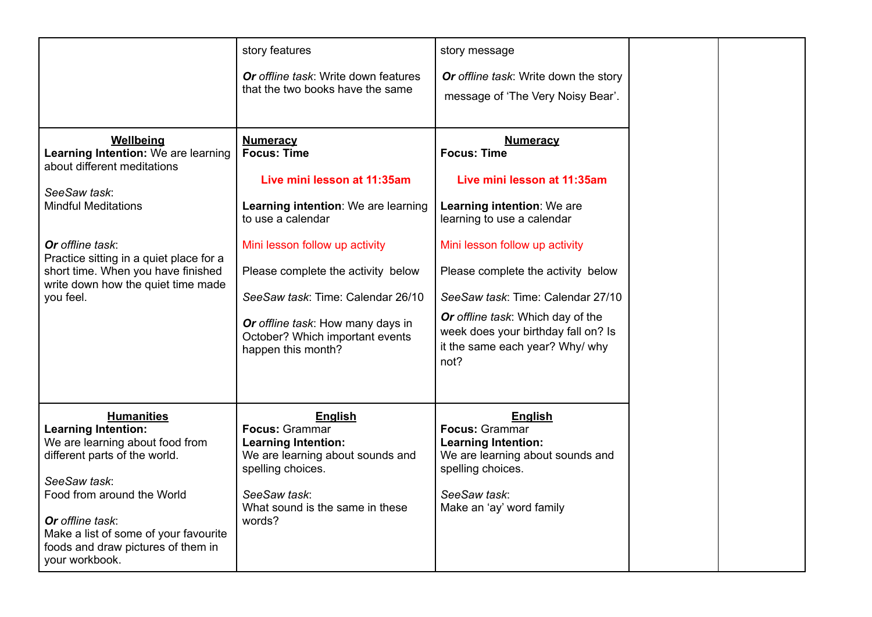|                                                                                                                                                                                                                                                                                        | story features<br><b>Or</b> offline task: Write down features<br>that the two books have the same                                                                                                                                                                                                                                           | story message<br>Or offline task: Write down the story<br>message of 'The Very Noisy Bear'.                                                                                                                                                                                                                                                                          |  |
|----------------------------------------------------------------------------------------------------------------------------------------------------------------------------------------------------------------------------------------------------------------------------------------|---------------------------------------------------------------------------------------------------------------------------------------------------------------------------------------------------------------------------------------------------------------------------------------------------------------------------------------------|----------------------------------------------------------------------------------------------------------------------------------------------------------------------------------------------------------------------------------------------------------------------------------------------------------------------------------------------------------------------|--|
| Wellbeing<br>Learning Intention: We are learning<br>about different meditations<br>SeeSaw task:<br><b>Mindful Meditations</b><br>Or offline task:<br>Practice sitting in a quiet place for a<br>short time. When you have finished<br>write down how the quiet time made<br>you feel.  | <b>Numeracy</b><br><b>Focus: Time</b><br>Live mini lesson at 11:35am<br>Learning intention: We are learning<br>to use a calendar<br>Mini lesson follow up activity<br>Please complete the activity below<br>SeeSaw task: Time: Calendar 26/10<br>Or offline task: How many days in<br>October? Which important events<br>happen this month? | <b>Numeracy</b><br><b>Focus: Time</b><br>Live mini lesson at 11:35am<br>Learning intention: We are<br>learning to use a calendar<br>Mini lesson follow up activity<br>Please complete the activity below<br>SeeSaw task: Time: Calendar 27/10<br>Or offline task: Which day of the<br>week does your birthday fall on? Is<br>it the same each year? Why/ why<br>not? |  |
| <b>Humanities</b><br><b>Learning Intention:</b><br>We are learning about food from<br>different parts of the world.<br>SeeSaw task:<br>Food from around the World<br>Or offline task:<br>Make a list of some of your favourite<br>foods and draw pictures of them in<br>your workbook. | <b>English</b><br>Focus: Grammar<br><b>Learning Intention:</b><br>We are learning about sounds and<br>spelling choices.<br>SeeSaw task:<br>What sound is the same in these<br>words?                                                                                                                                                        | <b>English</b><br>Focus: Grammar<br><b>Learning Intention:</b><br>We are learning about sounds and<br>spelling choices.<br>SeeSaw task:<br>Make an 'ay' word family                                                                                                                                                                                                  |  |